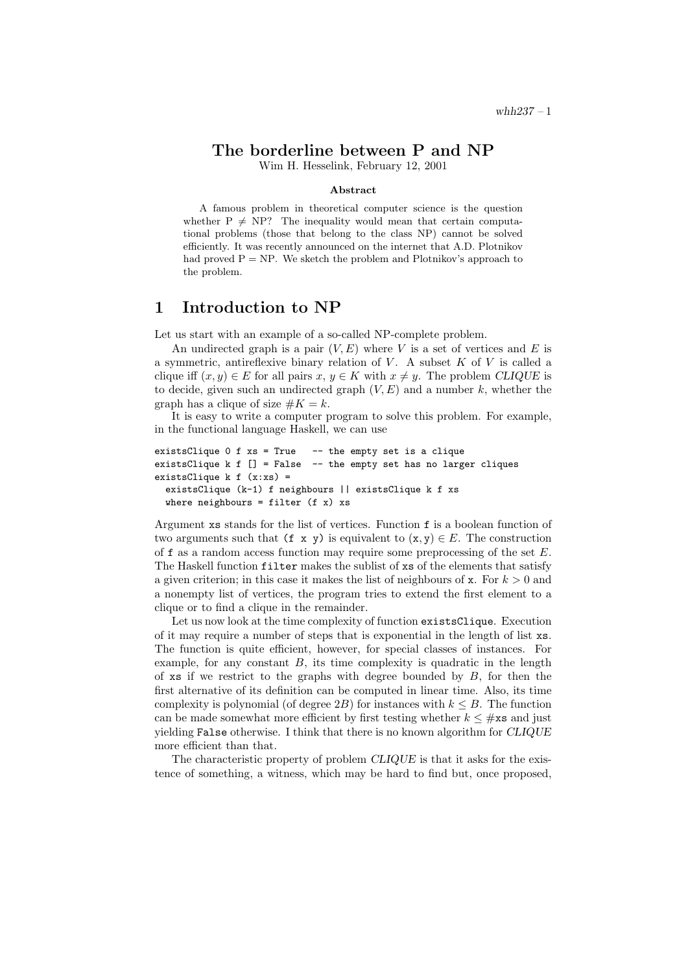## The borderline between P and NP

Wim H. Hesselink, February 12, 2001

#### Abstract

A famous problem in theoretical computer science is the question whether  $P \neq NP$ ? The inequality would mean that certain computational problems (those that belong to the class NP) cannot be solved efficiently. It was recently announced on the internet that A.D. Plotnikov had proved  $P = NP$ . We sketch the problem and Plotnikov's approach to the problem.

#### 1 Introduction to NP

Let us start with an example of a so-called NP-complete problem.

An undirected graph is a pair  $(V, E)$  where V is a set of vertices and E is a symmetric, antireflexive binary relation of  $V$ . A subset  $K$  of  $V$  is called a clique iff  $(x, y) \in E$  for all pairs  $x, y \in K$  with  $x \neq y$ . The problem CLIQUE is to decide, given such an undirected graph  $(V, E)$  and a number k, whether the graph has a clique of size  $#K = k$ .

It is easy to write a computer program to solve this problem. For example, in the functional language Haskell, we can use

```
existsClique 0 f xs = True -- the empty set is a clique
existsClique k f \lceil \rceil = False -- the empty set has no larger cliques
existsClique k f(x:xs) =existsClique (k-1) f neighbours || existsClique k f xs
  where neighbours = filter (f \times) xs
```
Argument xs stands for the list of vertices. Function f is a boolean function of two arguments such that (f x y) is equivalent to  $(x, y) \in E$ . The construction of f as a random access function may require some preprocessing of the set E. The Haskell function filter makes the sublist of xs of the elements that satisfy a given criterion; in this case it makes the list of neighbours of x. For  $k > 0$  and a nonempty list of vertices, the program tries to extend the first element to a clique or to find a clique in the remainder.

Let us now look at the time complexity of function existsClique. Execution of it may require a number of steps that is exponential in the length of list xs. The function is quite efficient, however, for special classes of instances. For example, for any constant  $B$ , its time complexity is quadratic in the length of xs if we restrict to the graphs with degree bounded by  $B$ , for then the first alternative of its definition can be computed in linear time. Also, its time complexity is polynomial (of degree  $2B$ ) for instances with  $k \leq B$ . The function can be made somewhat more efficient by first testing whether  $k \leq \text{\#xs}$  and just yielding False otherwise. I think that there is no known algorithm for CLIQUE more efficient than that.

The characteristic property of problem CLIQUE is that it asks for the existence of something, a witness, which may be hard to find but, once proposed,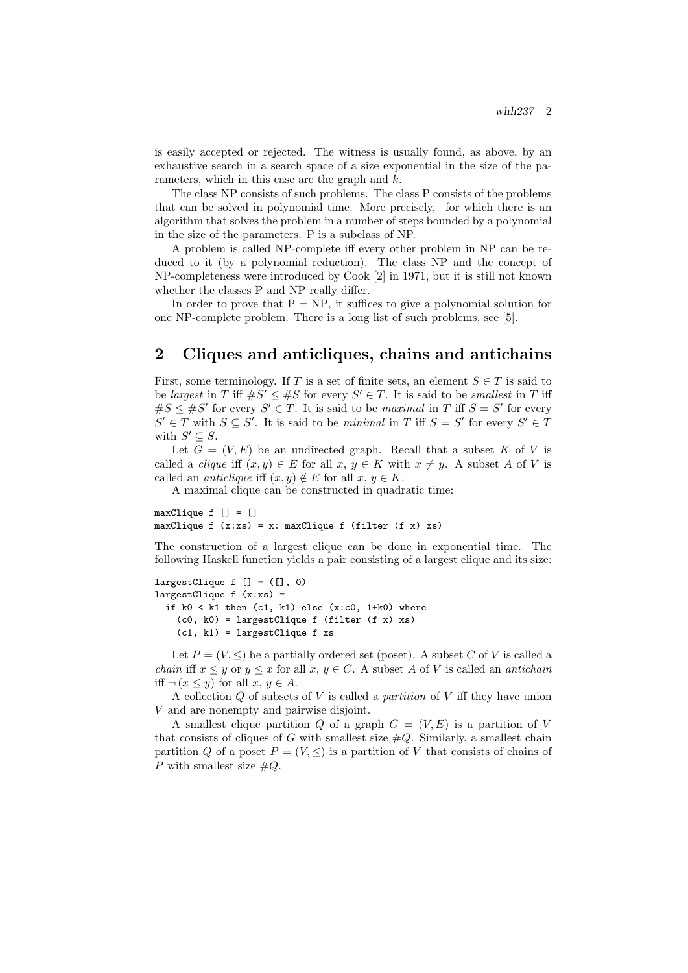is easily accepted or rejected. The witness is usually found, as above, by an exhaustive search in a search space of a size exponential in the size of the parameters, which in this case are the graph and k.

The class NP consists of such problems. The class P consists of the problems that can be solved in polynomial time. More precisely,– for which there is an algorithm that solves the problem in a number of steps bounded by a polynomial in the size of the parameters. P is a subclass of NP.

A problem is called NP-complete iff every other problem in NP can be reduced to it (by a polynomial reduction). The class NP and the concept of NP-completeness were introduced by Cook [2] in 1971, but it is still not known whether the classes P and NP really differ.

In order to prove that  $P = NP$ , it suffices to give a polynomial solution for one NP-complete problem. There is a long list of such problems, see [5].

### 2 Cliques and anticliques, chains and antichains

First, some terminology. If T is a set of finite sets, an element  $S \in T$  is said to be largest in T iff  $\#S' \leq \#S$  for every  $S' \in T$ . It is said to be smallest in T iff  $\#S \leq \#S'$  for every  $S' \in T$ . It is said to be maximal in T iff  $S = S'$  for every  $S' \in T$  with  $S \subseteq S'$ . It is said to be minimal in T iff  $S = S'$  for every  $S' \in T$ with  $S' \subseteq S$ .

Let  $G = (V, E)$  be an undirected graph. Recall that a subset K of V is called a *clique* iff  $(x, y) \in E$  for all  $x, y \in K$  with  $x \neq y$ . A subset A of V is called an *anticlique* iff  $(x, y) \notin E$  for all  $x, y \in K$ .

A maximal clique can be constructed in quadratic time:

maxClique f [] = [] maxClique f  $(x:xs) = x: maxClique f (filter (f x) xs)$ 

The construction of a largest clique can be done in exponential time. The following Haskell function yields a pair consisting of a largest clique and its size:

```
largestClique f [] = ([], 0)
largestClique f (x:xs) =if k0 < k1 then (c1, k1) else (x:c0, 1+k0) where
    (c0, k0) = largestClique f (filter (f x) xs)
    (c1, k1) = \text{largestClique f xs}
```
Let  $P = (V, \leq)$  be a partially ordered set (poset). A subset C of V is called a *chain* iff  $x \leq y$  or  $y \leq x$  for all  $x, y \in C$ . A subset A of V is called an *antichain* iff  $\neg (x \leq y)$  for all  $x, y \in A$ .

A collection  $Q$  of subsets of  $V$  is called a *partition* of  $V$  iff they have union V and are nonempty and pairwise disjoint.

A smallest clique partition Q of a graph  $G = (V, E)$  is a partition of V that consists of cliques of G with smallest size  $\#Q$ . Similarly, a smallest chain partition Q of a poset  $P = (V, \leq)$  is a partition of V that consists of chains of P with smallest size  $\#Q$ .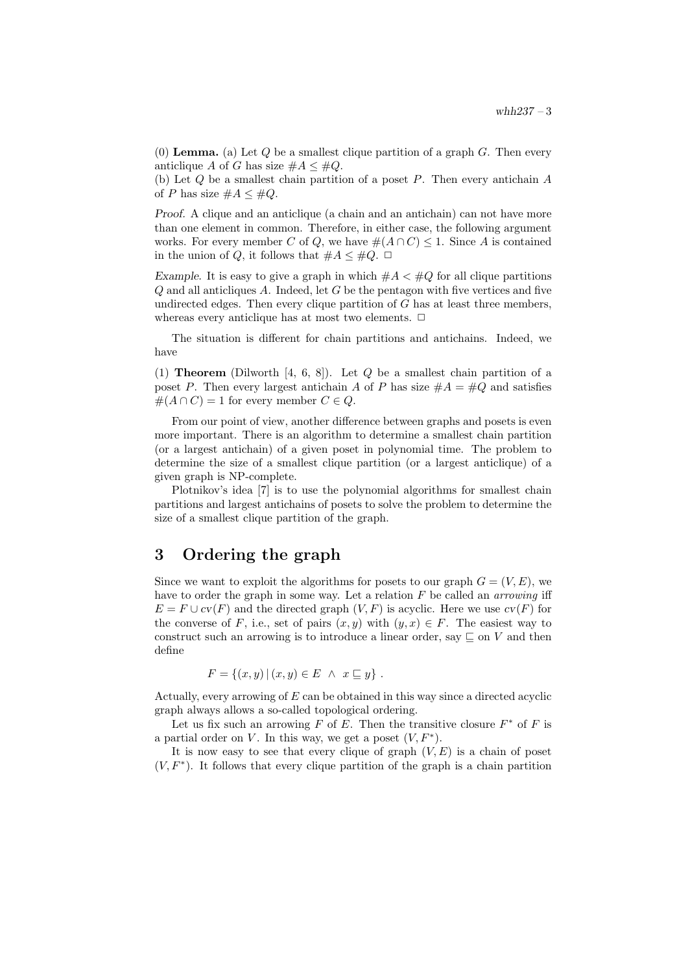(0) **Lemma.** (a) Let Q be a smallest clique partition of a graph  $G$ . Then every anticlique A of G has size  $\#A \leq \#Q$ .

(b) Let Q be a smallest chain partition of a poset P. Then every antichain A of P has size  $\#A \leq \#Q$ .

Proof. A clique and an anticlique (a chain and an antichain) can not have more than one element in common. Therefore, in either case, the following argument works. For every member C of Q, we have  $\#(A \cap C) \leq 1$ . Since A is contained in the union of Q, it follows that  $#A \leq#Q$ .  $\Box$ 

Example. It is easy to give a graph in which  $\#A \leq \#Q$  for all clique partitions  $Q$  and all anticliques  $A$ . Indeed, let  $G$  be the pentagon with five vertices and five undirected edges. Then every clique partition of  $G$  has at least three members, whereas every anticlique has at most two elements.  $\Box$ 

The situation is different for chain partitions and antichains. Indeed, we have

(1) **Theorem** (Dilworth [4, 6, 8]). Let  $Q$  be a smallest chain partition of a poset P. Then every largest antichain A of P has size  $#A = #Q$  and satisfies  $#(A \cap C) = 1$  for every member  $C \in Q$ .

From our point of view, another difference between graphs and posets is even more important. There is an algorithm to determine a smallest chain partition (or a largest antichain) of a given poset in polynomial time. The problem to determine the size of a smallest clique partition (or a largest anticlique) of a given graph is NP-complete.

Plotnikov's idea [7] is to use the polynomial algorithms for smallest chain partitions and largest antichains of posets to solve the problem to determine the size of a smallest clique partition of the graph.

# 3 Ordering the graph

Since we want to exploit the algorithms for posets to our graph  $G = (V, E)$ , we have to order the graph in some way. Let a relation  $F$  be called an *arrowing* iff  $E = F \cup cv(F)$  and the directed graph  $(V, F)$  is acyclic. Here we use  $cv(F)$  for the converse of F, i.e., set of pairs  $(x, y)$  with  $(y, x) \in F$ . The easiest way to construct such an arrowing is to introduce a linear order, say  $\subseteq$  on V and then define

$$
F = \{(x, y) | (x, y) \in E \land x \sqsubseteq y\}.
$$

Actually, every arrowing of E can be obtained in this way since a directed acyclic graph always allows a so-called topological ordering.

Let us fix such an arrowing F of E. Then the transitive closure  $F^*$  of F is a partial order on V. In this way, we get a poset  $(V, F^*)$ .

It is now easy to see that every clique of graph  $(V, E)$  is a chain of poset  $(V, F^*)$ . It follows that every clique partition of the graph is a chain partition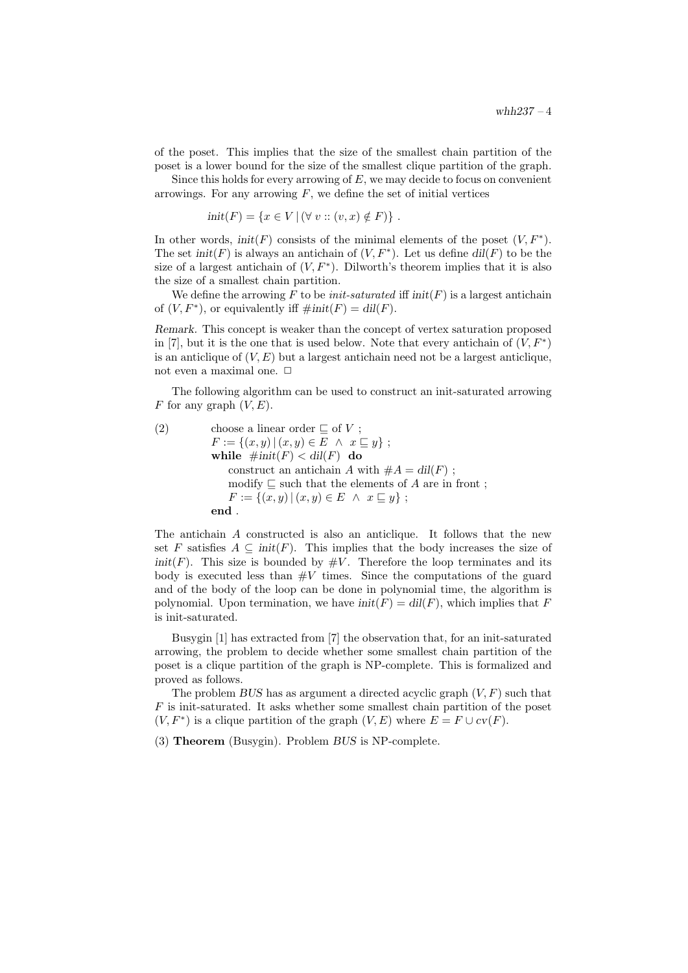of the poset. This implies that the size of the smallest chain partition of the poset is a lower bound for the size of the smallest clique partition of the graph.

Since this holds for every arrowing of  $E$ , we may decide to focus on convenient arrowings. For any arrowing  $F$ , we define the set of initial vertices

 $init(F) = \{x \in V \mid (\forall v :: (v, x) \notin F)\}\.$ 

In other words,  $init(F)$  consists of the minimal elements of the poset  $(V, F^*)$ . The set  $init(F)$  is always an antichain of  $(V, F^*)$ . Let us define  $dil(F)$  to be the size of a largest antichain of  $(V, F^*)$ . Dilworth's theorem implies that it is also the size of a smallest chain partition.

We define the arrowing F to be *init-saturated* iff  $init(F)$  is a largest antichain of  $(V, F^*)$ , or equivalently iff  $\#init(F) = dil(F)$ .

Remark. This concept is weaker than the concept of vertex saturation proposed in [7], but it is the one that is used below. Note that every antichain of  $(V, F^*)$ is an anticlique of  $(V, E)$  but a largest antichain need not be a largest anticlique, not even a maximal one.  $\Box$ 

The following algorithm can be used to construct an init-saturated arrowing F for any graph  $(V, E)$ .

(2) choose a linear order 
$$
\subseteq
$$
 of  $V$ ;  
\n $F := \{(x, y) | (x, y) \in E \land x \subseteq y\};$   
\n**while**  $\#init(F) < dil(F)$  **do**  
\nconstruct an antichain A with  $\#A = dil(F)$ ;  
\n $modify \subseteq$  such that the elements of A are in front ;  
\n $F := \{(x, y) | (x, y) \in E \land x \subseteq y\};$   
\n**end**.

The antichain A constructed is also an anticlique. It follows that the new set F satisfies  $A \subseteq \text{init}(F)$ . This implies that the body increases the size of  $init(F)$ . This size is bounded by  $\#V$ . Therefore the loop terminates and its body is executed less than  $\#V$  times. Since the computations of the guard and of the body of the loop can be done in polynomial time, the algorithm is polynomial. Upon termination, we have  $init(F) = dil(F)$ , which implies that F is init-saturated.

Busygin [1] has extracted from [7] the observation that, for an init-saturated arrowing, the problem to decide whether some smallest chain partition of the poset is a clique partition of the graph is NP-complete. This is formalized and proved as follows.

The problem BUS has as argument a directed acyclic graph  $(V, F)$  such that F is init-saturated. It asks whether some smallest chain partition of the poset  $(V, F^*)$  is a clique partition of the graph  $(V, E)$  where  $E = F \cup cv(F)$ .

(3) Theorem (Busygin). Problem BUS is NP-complete.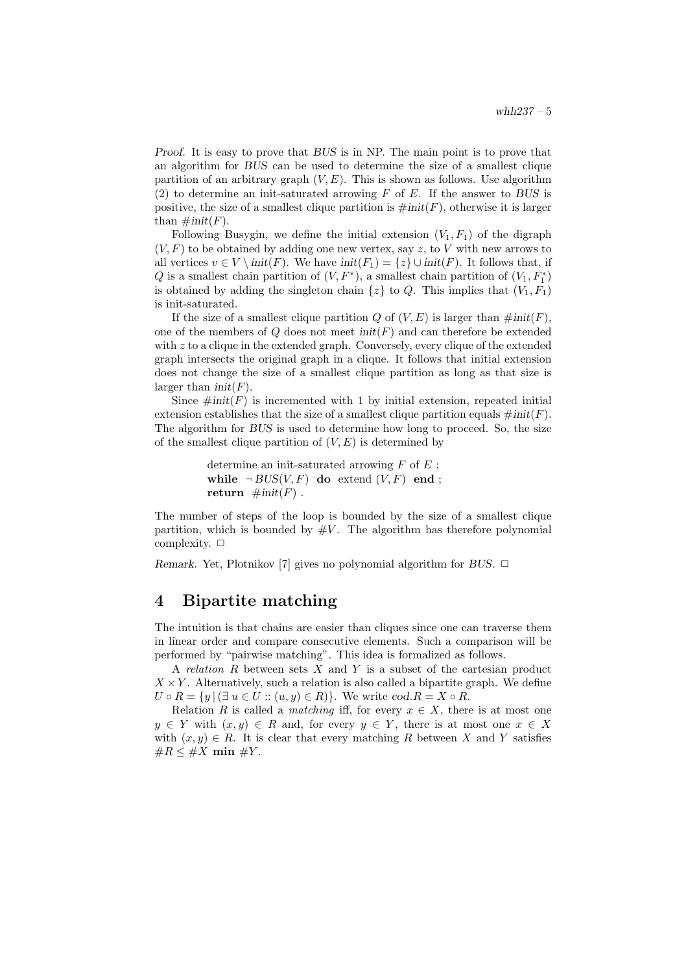Proof. It is easy to prove that BUS is in NP. The main point is to prove that an algorithm for BUS can be used to determine the size of a smallest clique partition of an arbitrary graph  $(V, E)$ . This is shown as follows. Use algorithm (2) to determine an init-saturated arrowing  $F$  of  $E$ . If the answer to BUS is positive, the size of a smallest clique partition is  $\#init(F)$ , otherwise it is larger than  $\#init(F)$ .

Following Busygin, we define the initial extension  $(V_1, F_1)$  of the digraph  $(V, F)$  to be obtained by adding one new vertex, say z, to V with new arrows to all vertices  $v \in V \setminus init(F)$ . We have  $init(F_1) = \{z\} \cup init(F)$ . It follows that, if Q is a smallest chain partition of  $(V, F^*)$ , a smallest chain partition of  $(V_1, F_1^*)$ is obtained by adding the singleton chain  $\{z\}$  to Q. This implies that  $(V_1, F_1)$ is init-saturated.

If the size of a smallest clique partition Q of  $(V, E)$  is larger than  $\#init(F)$ . one of the members of  $Q$  does not meet  $init(F)$  and can therefore be extended with  $z$  to a clique in the extended graph. Conversely, every clique of the extended graph intersects the original graph in a clique. It follows that initial extension does not change the size of a smallest clique partition as long as that size is larger than  $init(F)$ .

Since  $\#init(F)$  is incremented with 1 by initial extension, repeated initial extension establishes that the size of a smallest clique partition equals  $\#init(F)$ . The algorithm for BUS is used to determine how long to proceed. So, the size of the smallest clique partition of  $(V, E)$  is determined by

```
determine an init-saturated arrowing F of E;
while \neg BUS(V, F) do extend (V, F) end;
return \#init(F).
```
The number of steps of the loop is bounded by the size of a smallest clique partition, which is bounded by  $\#V$ . The algorithm has therefore polynomial complexity.  $\Box$ 

Remark. Yet, Plotnikov [7] gives no polynomial algorithm for BUS.  $\Box$ 

### 4 Bipartite matching

The intuition is that chains are easier than cliques since one can traverse them in linear order and compare consecutive elements. Such a comparison will be performed by "pairwise matching". This idea is formalized as follows.

A relation  $R$  between sets  $X$  and  $Y$  is a subset of the cartesian product  $X \times Y$ . Alternatively, such a relation is also called a bipartite graph. We define  $U \circ R = \{y \mid (\exists u \in U :: (u, y) \in R)\}.$  We write  $cod.R = X \circ R$ .

Relation R is called a *matching* iff, for every  $x \in X$ , there is at most one  $y \in Y$  with  $(x, y) \in R$  and, for every  $y \in Y$ , there is at most one  $x \in X$ with  $(x, y) \in R$ . It is clear that every matching R between X and Y satisfies  $\#R \leq \#X$  min  $\#Y$ .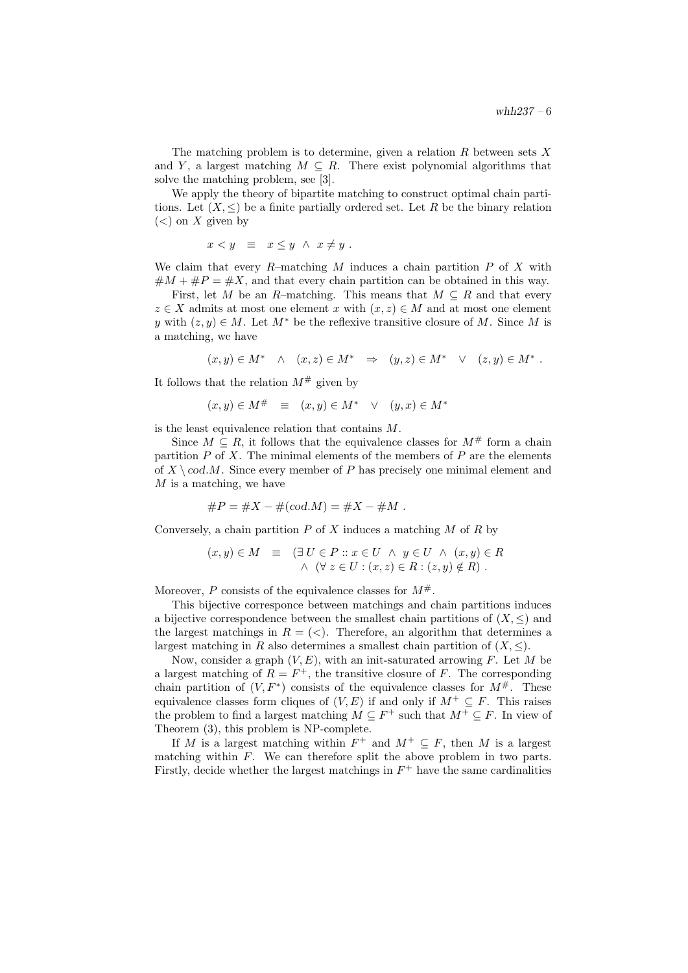The matching problem is to determine, given a relation  $R$  between sets  $X$ and Y, a largest matching  $M \subseteq R$ . There exist polynomial algorithms that solve the matching problem, see [3].

We apply the theory of bipartite matching to construct optimal chain partitions. Let  $(X, \leq)$  be a finite partially ordered set. Let R be the binary relation  $(<)$  on X given by

$$
x < y \equiv x \leq y \land x \neq y.
$$

We claim that every  $R$ -matching  $M$  induces a chain partition  $P$  of  $X$  with  $\#M + \#P = \#X$ , and that every chain partition can be obtained in this way.

First, let M be an R–matching. This means that  $M \subseteq R$  and that every  $z \in X$  admits at most one element x with  $(x, z) \in M$  and at most one element y with  $(z, y) \in M$ . Let  $M^*$  be the reflexive transitive closure of M. Since M is a matching, we have

$$
(x, y) \in M^* \quad \wedge \quad (x, z) \in M^* \quad \Rightarrow \quad (y, z) \in M^* \quad \vee \quad (z, y) \in M^* \ .
$$

It follows that the relation  $M^{\#}$  given by

$$
(x, y) \in M^{\#} \equiv (x, y) \in M^* \quad \vee \quad (y, x) \in M^*
$$

is the least equivalence relation that contains M.

Since  $M \subseteq R$ , it follows that the equivalence classes for  $M^{\#}$  form a chain partition  $P$  of  $X$ . The minimal elements of the members of  $P$  are the elements of  $X \setminus cod.M$ . Since every member of P has precisely one minimal element and  $M$  is a matching, we have

#P = #X − #(cod.M) = #X − #M .

Conversely, a chain partition  $P$  of  $X$  induces a matching  $M$  of  $R$  by

$$
(x, y) \in M \equiv \left( \exists U \in P :: x \in U \land y \in U \land (x, y) \in R \right)
$$
  
 
$$
\land (\forall z \in U : (x, z) \in R : (z, y) \notin R \right).
$$

Moreover, P consists of the equivalence classes for  $M^{\#}$ .

This bijective corresponce between matchings and chain partitions induces a bijective correspondence between the smallest chain partitions of  $(X, \leq)$  and the largest matchings in  $R = \langle \langle \rangle$ . Therefore, an algorithm that determines a largest matching in R also determines a smallest chain partition of  $(X, \leq)$ .

Now, consider a graph  $(V, E)$ , with an init-saturated arrowing F. Let M be a largest matching of  $R = F^+$ , the transitive closure of F. The corresponding chain partition of  $(V, F^*)$  consists of the equivalence classes for  $M^{\#}$ . These equivalence classes form cliques of  $(V, E)$  if and only if  $M^+ \subseteq F$ . This raises the problem to find a largest matching  $M \subseteq F^+$  such that  $M^+ \subseteq F$ . In view of Theorem (3), this problem is NP-complete.

If M is a largest matching within  $F^+$  and  $M^+ \subseteq F$ , then M is a largest matching within  $F$ . We can therefore split the above problem in two parts. Firstly, decide whether the largest matchings in  $F^+$  have the same cardinalities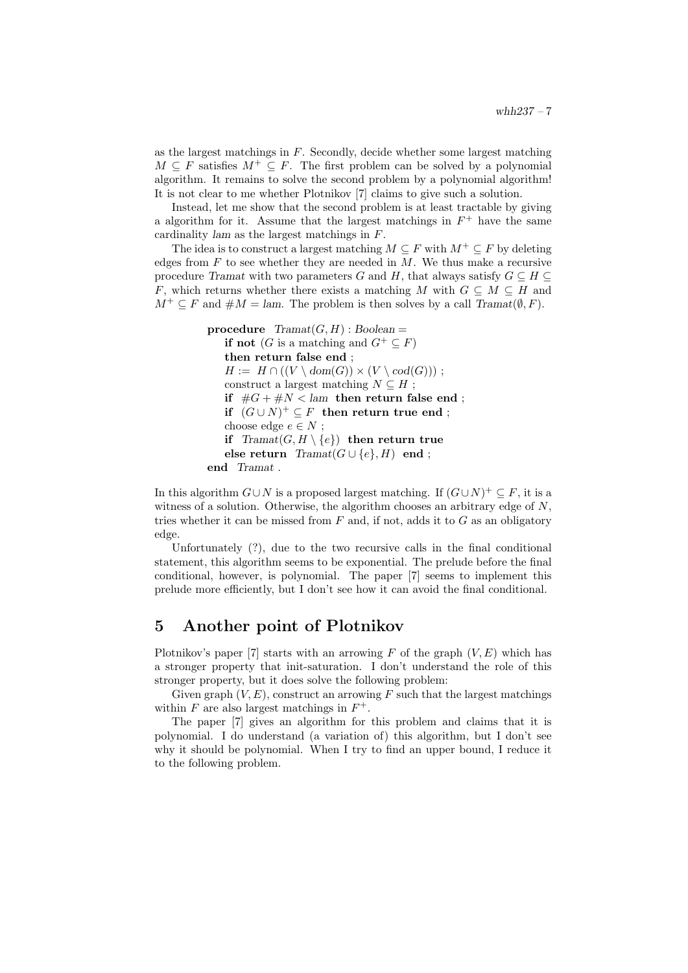as the largest matchings in  $F$ . Secondly, decide whether some largest matching  $M \subseteq F$  satisfies  $M^+ \subseteq F$ . The first problem can be solved by a polynomial algorithm. It remains to solve the second problem by a polynomial algorithm! It is not clear to me whether Plotnikov [7] claims to give such a solution.

Instead, let me show that the second problem is at least tractable by giving a algorithm for it. Assume that the largest matchings in  $F^+$  have the same cardinality lam as the largest matchings in F.

The idea is to construct a largest matching  $M \subseteq F$  with  $M^+ \subseteq F$  by deleting edges from  $F$  to see whether they are needed in  $M$ . We thus make a recursive procedure Tramat with two parameters G and H, that always satisfy  $G \subseteq H \subseteq$ F, which returns whether there exists a matching M with  $G \subseteq M \subseteq H$  and  $M^+ \subseteq F$  and  $\#M = \text{lam}$ . The problem is then solves by a call Tramat( $\emptyset, F$ ).

```
procedure Tramat(G, H) : Boolean =if not (G is a matching and G^+ \subseteq F)
   then return false end ;
   H := H \cap ((V \setminus dom(G)) \times (V \setminus cod(G)));
   construct a largest matching N \subseteq H;
   if \#G + \#N < lam then return false end;
    if (G \cup N)^+ \subseteq F then return true end;
   choose edge e \in N;
   if Tramat(G, H \setminus \{e\}) then return true
   else return Tramat(G \cup \{e\}, H) end ;
end Tramat .
```
In this algorithm  $G \cup N$  is a proposed largest matching. If  $(G \cup N)^+ \subseteq F$ , it is a witness of a solution. Otherwise, the algorithm chooses an arbitrary edge of  $N$ , tries whether it can be missed from  $F$  and, if not, adds it to  $G$  as an obligatory edge.

Unfortunately (?), due to the two recursive calls in the final conditional statement, this algorithm seems to be exponential. The prelude before the final conditional, however, is polynomial. The paper [7] seems to implement this prelude more efficiently, but I don't see how it can avoid the final conditional.

## 5 Another point of Plotnikov

Plotnikov's paper [7] starts with an arrowing  $F$  of the graph  $(V, E)$  which has a stronger property that init-saturation. I don't understand the role of this stronger property, but it does solve the following problem:

Given graph  $(V, E)$ , construct an arrowing F such that the largest matchings within  $F$  are also largest matchings in  $F^+$ .

The paper [7] gives an algorithm for this problem and claims that it is polynomial. I do understand (a variation of) this algorithm, but I don't see why it should be polynomial. When I try to find an upper bound, I reduce it to the following problem.